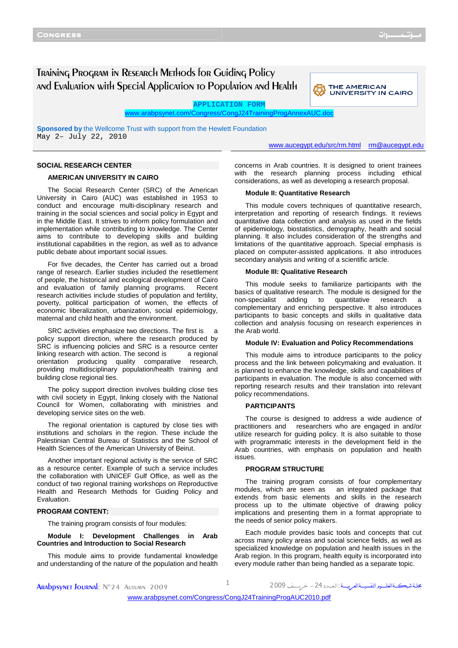# Training Program in Research Methods for Guiding Policy and Evaluation with Special Application to Population and Health



**APPLICATION FORM** 

www.arabpsynet.com/Congress/CongJ24TrainingProgAnnexAUC.doc

**Sponsored by** the Wellcome Trust with support from the Hewlett Foundation May 2– July 22, 2010

www.aucegypt.edu/src/rm.html rm@aucegypt.edu

### **SOCIAL RESEARCH CENTER**

### **AMERICAN UNIVERSITY IN CAIRO**

The Social Research Center (SRC) of the American University in Cairo (AUC) was established in 1953 to conduct and encourage multi-disciplinary research and training in the social sciences and social policy in Egypt and in the Middle East. It strives to inform policy formulation and implementation while contributing to knowledge. The Center aims to contribute to developing skills and building institutional capabilities in the region, as well as to advance public debate about important social issues.

For five decades, the Center has carried out a broad range of research. Earlier studies included the resettlement of people, the historical and ecological development of Cairo and evaluation of family planning programs. Recent research activities include studies of population and fertility, poverty, political participation of women, the effects of economic liberalization, urbanization, social epidemiology, maternal and child health and the environment.

SRC activities emphasize two directions. The first is policy support direction, where the research produced by SRC is influencing policies and SRC is a resource center linking research with action. The second is a regional orientation producing quality comparative research, providing multidisciplinary population/health training and building close regional ties.

The policy support direction involves building close ties with civil society in Egypt, linking closely with the National Council for Women, collaborating with ministries and developing service sites on the web.

The regional orientation is captured by close ties with institutions and scholars in the region. These include the Palestinian Central Bureau of Statistics and the School of Health Sciences of the American University of Beirut.

Another important regional activity is the service of SRC as a resource center. Example of such a service includes the collaboration with UNICEF Gulf Office, as well as the conduct of two regional training workshops on Reproductive Health and Research Methods for Guiding Policy and Evaluation.

### **PROGRAM CONTENT:**

The training program consists of four modules:

**Module I: Development Challenges in Arab Countries and Introduction to Social Research** 

This module aims to provide fundamental knowledge and understanding of the nature of the population and health concerns in Arab countries. It is designed to orient trainees with the research planning process including ethical considerations, as well as developing a research proposal.

#### **Module II: Quantitative Research**

This module covers techniques of quantitative research, interpretation and reporting of research findings. It reviews quantitative data collection and analysis as used in the fields of epidemiology, biostatistics, demography, health and social planning. It also includes consideration of the strengths and limitations of the quantitative approach. Special emphasis is placed on computer-assisted applications. It also introduces secondary analysis and writing of a scientific article.

#### **Module III: Qualitative Research**

This module seeks to familiarize participants with the basics of qualitative research. The module is designed for the non-specialist adding to quantitative research a complementary and enriching perspective. It also introduces participants to basic concepts and skills in qualitative data collection and analysis focusing on research experiences in the Arab world.

#### **Module IV: Evaluation and Policy Recommendations**

This module aims to introduce participants to the policy process and the link between policymaking and evaluation. It is planned to enhance the knowledge, skills and capabilities of participants in evaluation. The module is also concerned with reporting research results and their translation into relevant policy recommendations.

### **PARTICIPANTS**

The course is designed to address a wide audience of practitioners and researchers who are engaged in and/or utilize research for guiding policy. It is also suitable to those with programmatic interests in the development field in the Arab countries, with emphasis on population and health issues.

#### **PROGRAM STRUCTURE**

The training program consists of four complementary modules, which are seen as an integrated package that extends from basic elements and skills in the research process up to the ultimate objective of drawing policy implications and presenting them in a format appropriate to the needs of senior policy makers.

Each module provides basic tools and concepts that cut across many policy areas and social science fields, as well as specialized knowledge on population and health issues in the Arab region. In this program, health equity is incorporated into every module rather than being handled as a separate topic.

مجلة شبڪــةالعلـــوم النفسيــةالعـرييـــة : ال